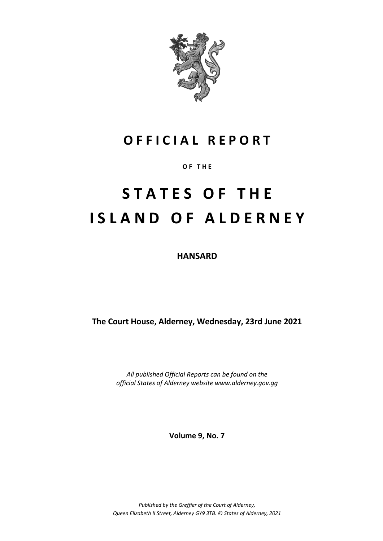

# **O F F I C I A L R E P O R T**

**O F T H E**

# **S T A T E S O F T H E I S L A N D O F A L D E R N E Y**

**HANSARD**

**The Court House, Alderney, Wednesday, 23rd June 2021**

*All published Official Reports can be found on the official States of Alderney website www.alderney.gov.gg*

**Volume 9, No. 7**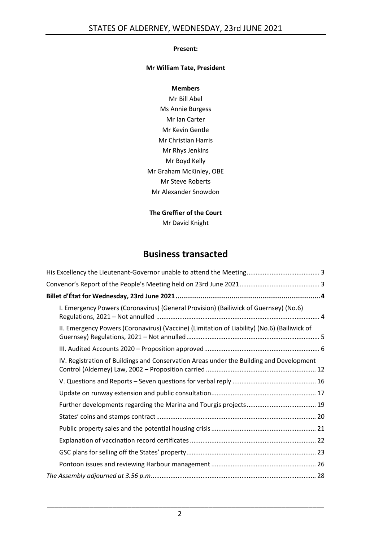#### **Present:**

#### **Mr William Tate, President**

#### **Members**

Mr Bill Abel Ms Annie Burgess Mr Ian Carter Mr Kevin Gentle Mr Christian Harris Mr Rhys Jenkins Mr Boyd Kelly Mr Graham McKinley, OBE Mr Steve Roberts Mr Alexander Snowdon

# **The Greffier of the Court**

Mr David Knight

# **Business transacted**

| I. Emergency Powers (Coronavirus) (General Provision) (Bailiwick of Guernsey) (No.6)        |
|---------------------------------------------------------------------------------------------|
| II. Emergency Powers (Coronavirus) (Vaccine) (Limitation of Liability) (No.6) (Bailiwick of |
|                                                                                             |
| IV. Registration of Buildings and Conservation Areas under the Building and Development     |
|                                                                                             |
|                                                                                             |
|                                                                                             |
|                                                                                             |
|                                                                                             |
|                                                                                             |
|                                                                                             |
|                                                                                             |
|                                                                                             |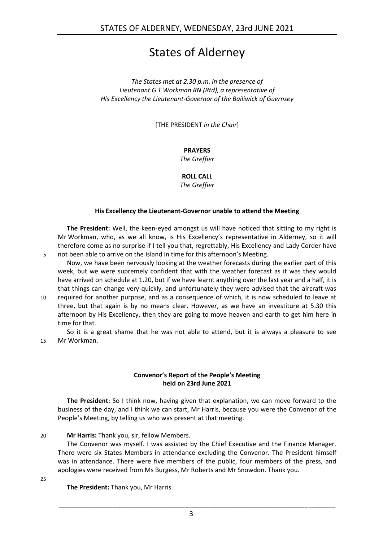# States of Alderney

*The States met at 2.30 p.m. in the presence of Lieutenant G T Workman RN (Rtd), a representative of His Excellency the Lieutenant-Governor of the Bailiwick of Guernsey*

[THE PRESIDENT *in the Chair*]

# **PRAYERS**

*The Greffier*

**ROLL CALL**

*The Greffier*

#### **His Excellency the Lieutenant-Governor unable to attend the Meeting**

<span id="page-2-0"></span>**The President:** Well, the keen-eyed amongst us will have noticed that sitting to my right is Mr Workman, who, as we all know, is His Excellency's representative in Alderney, so it will therefore come as no surprise if I tell you that, regrettably, His Excellency and Lady Corder have 5 not been able to arrive on the Island in time for this afternoon's Meeting.

Now, we have been nervously looking at the weather forecasts during the earlier part of this week, but we were supremely confident that with the weather forecast as it was they would have arrived on schedule at 1.20, but if we have learnt anything over the last year and a half, it is that things can change very quickly, and unfortunately they were advised that the aircraft was

10 required for another purpose, and as a consequence of which, it is now scheduled to leave at three, but that again is by no means clear. However, as we have an investiture at 5.30 this afternoon by His Excellency, then they are going to move heaven and earth to get him here in time for that.

So it is a great shame that he was not able to attend, but it is always a pleasure to see 15 Mr Workman.

#### **Convenor's Report of the People's Meeting held on 23rd June 2021**

<span id="page-2-1"></span>**The President:** So I think now, having given that explanation, we can move forward to the business of the day, and I think we can start, Mr Harris, because you were the Convenor of the People's Meeting, by telling us who was present at that meeting.

#### 20 **Mr Harris:** Thank you, sir, fellow Members.

The Convenor was myself. I was assisted by the Chief Executive and the Finance Manager. There were six States Members in attendance excluding the Convenor. The President himself was in attendance. There were five members of the public, four members of the press, and apologies were received from Ms Burgess, Mr Roberts and Mr Snowdon. Thank you.

25

**The President:** Thank you, Mr Harris.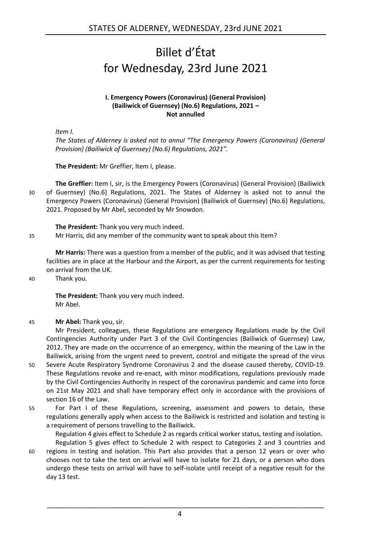# <span id="page-3-0"></span>Billet d'État for Wednesday, 23rd June 2021

#### **I. Emergency Powers (Coronavirus) (General Provision) (Bailiwick of Guernsey) (No.6) Regulations, 2021 – Not annulled**

<span id="page-3-1"></span>*Item I.*

*The States of Alderney is asked not to annul "The Emergency Powers (Coronavirus) (General Provision) (Bailiwick of Guernsey) (No.6) Regulations, 2021".*

**The President:** Mr Greffier, Item I, please.

**The Greffier:** Item I, sir, is the Emergency Powers (Coronavirus) (General Provision) (Bailiwick 30 of Guernsey) (No.6) Regulations, 2021. The States of Alderney is asked not to annul the Emergency Powers (Coronavirus) (General Provision) (Bailiwick of Guernsey) (No.6) Regulations, 2021. Proposed by Mr Abel, seconded by Mr Snowdon.

**The President:** Thank you very much indeed.

35 Mr Harris, did any member of the community want to speak about this Item?

**Mr Harris:** There was a question from a member of the public, and it was advised that testing facilities are in place at the Harbour and the Airport, as per the current requirements for testing on arrival from the UK.

40 Thank you.

**The President:** Thank you very much indeed. Mr Abel.

45 **Mr Abel:** Thank you, sir.

Mr President, colleagues, these Regulations are emergency Regulations made by the Civil Contingencies Authority under Part 3 of the Civil Contingencies (Bailiwick of Guernsey) Law, 2012. They are made on the occurrence of an emergency, within the meaning of the Law in the Bailiwick, arising from the urgent need to prevent, control and mitigate the spread of the virus

- 50 Severe Acute Respiratory Syndrome Coronavirus 2 and the disease caused thereby, COVID-19. These Regulations revoke and re-enact, with minor modifications, regulations previously made by the Civil Contingencies Authority in respect of the coronavirus pandemic and came into force on 21st May 2021 and shall have temporary effect only in accordance with the provisions of section 16 of the Law.
- 55 For Part I of these Regulations, screening, assessment and powers to detain, these regulations generally apply when access to the Bailiwick is restricted and isolation and testing is a requirement of persons travelling to the Bailiwick.

Regulation 4 gives effect to Schedule 2 as regards critical worker status, testing and isolation.

Regulation 5 gives effect to Schedule 2 with respect to Categories 2 and 3 countries and 60 regions in testing and isolation. This Part also provides that a person 12 years or over who chooses not to take the test on arrival will have to isolate for 21 days, or a person who does undergo these tests on arrival will have to self-isolate until receipt of a negative result for the day 13 test.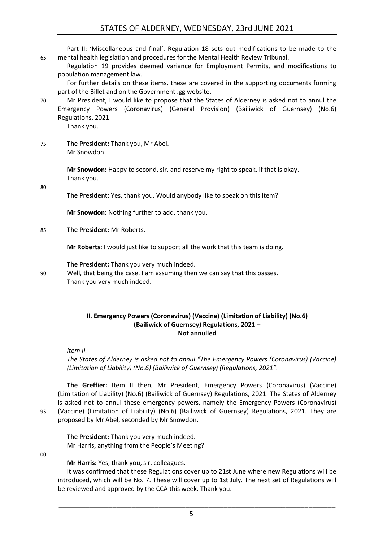Part II: 'Miscellaneous and final'. Regulation 18 sets out modifications to be made to the 65 mental health legislation and procedures for the Mental Health Review Tribunal.

Regulation 19 provides deemed variance for Employment Permits, and modifications to population management law.

For further details on these items, these are covered in the supporting documents forming part of the Billet and on the Government .gg website.

70 Mr President, I would like to propose that the States of Alderney is asked not to annul the Emergency Powers (Coronavirus) (General Provision) (Bailiwick of Guernsey) (No.6) Regulations, 2021.

Thank you.

75 **The President:** Thank you, Mr Abel. Mr Snowdon.

> **Mr Snowdon:** Happy to second, sir, and reserve my right to speak, if that is okay. Thank you.

80

**The President:** Yes, thank you. Would anybody like to speak on this Item?

**Mr Snowdon:** Nothing further to add, thank you.

85 **The President:** Mr Roberts.

**Mr Roberts:** I would just like to support all the work that this team is doing.

**The President:** Thank you very much indeed.

90 Well, that being the case, I am assuming then we can say that this passes. Thank you very much indeed.

### <span id="page-4-0"></span>**II. Emergency Powers (Coronavirus) (Vaccine) (Limitation of Liability) (No.6) (Bailiwick of Guernsey) Regulations, 2021 – Not annulled**

*Item II.*

*The States of Alderney is asked not to annul "The Emergency Powers (Coronavirus) (Vaccine) (Limitation of Liability) (No.6) (Bailiwick of Guernsey) (Regulations, 2021".*

**The Greffier:** Item II then, Mr President, Emergency Powers (Coronavirus) (Vaccine) (Limitation of Liability) (No.6) (Bailiwick of Guernsey) Regulations, 2021. The States of Alderney is asked not to annul these emergency powers, namely the Emergency Powers (Coronavirus) 95 (Vaccine) (Limitation of Liability) (No.6) (Bailiwick of Guernsey) Regulations, 2021. They are proposed by Mr Abel, seconded by Mr Snowdon.

**The President:** Thank you very much indeed. Mr Harris, anything from the People's Meeting?

100

**Mr Harris:** Yes, thank you, sir, colleagues.

It was confirmed that these Regulations cover up to 21st June where new Regulations will be introduced, which will be No. 7. These will cover up to 1st July. The next set of Regulations will be reviewed and approved by the CCA this week. Thank you.

\_\_\_\_\_\_\_\_\_\_\_\_\_\_\_\_\_\_\_\_\_\_\_\_\_\_\_\_\_\_\_\_\_\_\_\_\_\_\_\_\_\_\_\_\_\_\_\_\_\_\_\_\_\_\_\_\_\_\_\_\_\_\_\_\_\_\_\_\_\_\_\_

5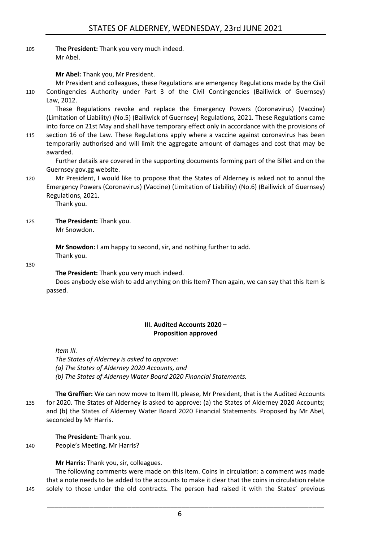105 **The President:** Thank you very much indeed. Mr Abel.

**Mr Abel:** Thank you, Mr President.

Mr President and colleagues, these Regulations are emergency Regulations made by the Civil 110 Contingencies Authority under Part 3 of the Civil Contingencies (Bailiwick of Guernsey) Law, 2012.

These Regulations revoke and replace the Emergency Powers (Coronavirus) (Vaccine) (Limitation of Liability) (No.5) (Bailiwick of Guernsey) Regulations, 2021. These Regulations came into force on 21st May and shall have temporary effect only in accordance with the provisions of

115 section 16 of the Law. These Regulations apply where a vaccine against coronavirus has been temporarily authorised and will limit the aggregate amount of damages and cost that may be awarded.

Further details are covered in the supporting documents forming part of the Billet and on the Guernsey gov.gg website.

120 Mr President, I would like to propose that the States of Alderney is asked not to annul the Emergency Powers (Coronavirus) (Vaccine) (Limitation of Liability) (No.6) (Bailiwick of Guernsey) Regulations, 2021.

Thank you.

125 **The President:** Thank you.

Mr Snowdon.

**Mr Snowdon:** I am happy to second, sir, and nothing further to add. Thank you.

130

**The President:** Thank you very much indeed.

Does anybody else wish to add anything on this Item? Then again, we can say that this Item is passed.

### **III. Audited Accounts 2020 – Proposition approved**

<span id="page-5-0"></span>*Item III.*

*The States of Alderney is asked to approve: (a) The States of Alderney 2020 Accounts, and (b) The States of Alderney Water Board 2020 Financial Statements.*

**The Greffier:** We can now move to Item III, please, Mr President, that is the Audited Accounts 135 for 2020. The States of Alderney is asked to approve: (a) the States of Alderney 2020 Accounts; and (b) the States of Alderney Water Board 2020 Financial Statements. Proposed by Mr Abel, seconded by Mr Harris.

**The President:** Thank you. 140 People's Meeting, Mr Harris?

**Mr Harris:** Thank you, sir, colleagues.

The following comments were made on this Item. Coins in circulation: a comment was made that a note needs to be added to the accounts to make it clear that the coins in circulation relate 145 solely to those under the old contracts. The person had raised it with the States' previous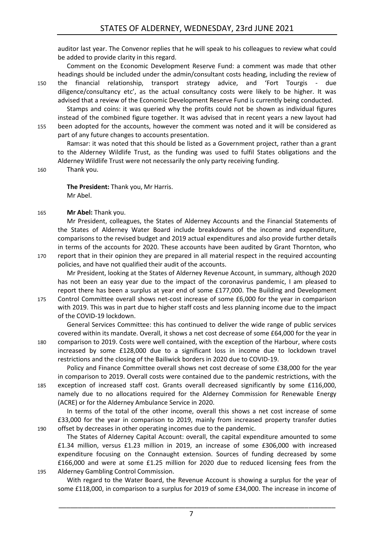auditor last year. The Convenor replies that he will speak to his colleagues to review what could be added to provide clarity in this regard.

Comment on the Economic Development Reserve Fund: a comment was made that other headings should be included under the admin/consultant costs heading, including the review of 150 the financial relationship, transport strategy advice, and 'Fort Tourgis - due diligence/consultancy etc', as the actual consultancy costs were likely to be higher. It was advised that a review of the Economic Development Reserve Fund is currently being conducted.

Stamps and coins: it was queried why the profits could not be shown as individual figures instead of the combined figure together. It was advised that in recent years a new layout had 155 been adopted for the accounts, however the comment was noted and it will be considered as part of any future changes to accounts presentation.

Ramsar: it was noted that this should be listed as a Government project, rather than a grant to the Alderney Wildlife Trust, as the funding was used to fulfil States obligations and the Alderney Wildlife Trust were not necessarily the only party receiving funding.

160 Thank you.

**The President:** Thank you, Mr Harris. Mr Abel.

165 **Mr Abel:** Thank you.

Mr President, colleagues, the States of Alderney Accounts and the Financial Statements of the States of Alderney Water Board include breakdowns of the income and expenditure, comparisons to the revised budget and 2019 actual expenditures and also provide further details in terms of the accounts for 2020. These accounts have been audited by Grant Thornton, who

170 report that in their opinion they are prepared in all material respect in the required accounting policies, and have not qualified their audit of the accounts.

Mr President, looking at the States of Alderney Revenue Account, in summary, although 2020 has not been an easy year due to the impact of the coronavirus pandemic, I am pleased to report there has been a surplus at year end of some £177,000. The Building and Development

175 Control Committee overall shows net-cost increase of some £6,000 for the year in comparison with 2019. This was in part due to higher staff costs and less planning income due to the impact of the COVID-19 lockdown.

General Services Committee: this has continued to deliver the wide range of public services covered within its mandate. Overall, it shows a net cost decrease of some £64,000 for the year in 180 comparison to 2019. Costs were well contained, with the exception of the Harbour, where costs increased by some £128,000 due to a significant loss in income due to lockdown travel restrictions and the closing of the Bailiwick borders in 2020 due to COVID-19.

Policy and Finance Committee overall shows net cost decrease of some £38,000 for the year in comparison to 2019. Overall costs were contained due to the pandemic restrictions, with the 185 exception of increased staff cost. Grants overall decreased significantly by some £116,000, namely due to no allocations required for the Alderney Commission for Renewable Energy (ACRE) or for the Alderney Ambulance Service in 2020.

In terms of the total of the other income, overall this shows a net cost increase of some £33,000 for the year in comparison to 2019, mainly from increased property transfer duties 190 offset by decreases in other operating incomes due to the pandemic.

The States of Alderney Capital Account: overall, the capital expenditure amounted to some £1.34 million, versus £1.23 million in 2019, an increase of some £306,000 with increased expenditure focusing on the Connaught extension. Sources of funding decreased by some £166,000 and were at some £1.25 million for 2020 due to reduced licensing fees from the 195 Alderney Gambling Control Commission.

With regard to the Water Board, the Revenue Account is showing a surplus for the year of some £118,000, in comparison to a surplus for 2019 of some £34,000. The increase in income of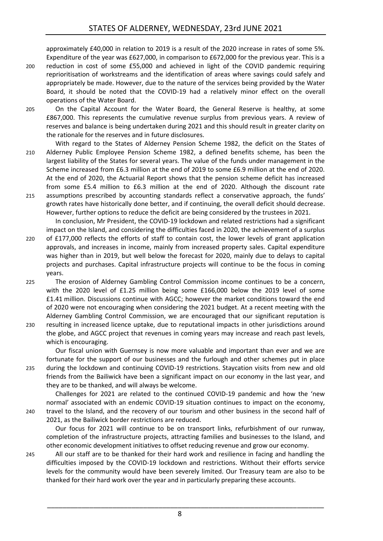approximately £40,000 in relation to 2019 is a result of the 2020 increase in rates of some 5%. Expenditure of the year was £627,000, in comparison to £672,000 for the previous year. This is a

- 200 reduction in cost of some £55,000 and achieved in light of the COVID pandemic requiring reprioritisation of workstreams and the identification of areas where savings could safely and appropriately be made. However, due to the nature of the services being provided by the Water Board, it should be noted that the COVID-19 had a relatively minor effect on the overall operations of the Water Board.
- 205 On the Capital Account for the Water Board, the General Reserve is healthy, at some £867,000. This represents the cumulative revenue surplus from previous years. A review of reserves and balance is being undertaken during 2021 and this should result in greater clarity on the rationale for the reserves and in future disclosures.
- With regard to the States of Alderney Pension Scheme 1982, the deficit on the States of 210 Alderney Public Employee Pension Scheme 1982, a defined benefits scheme, has been the largest liability of the States for several years. The value of the funds under management in the Scheme increased from £6.3 million at the end of 2019 to some £6.9 million at the end of 2020. At the end of 2020, the Actuarial Report shows that the pension scheme deficit has increased from some £5.4 million to £6.3 million at the end of 2020. Although the discount rate
- 215 assumptions prescribed by accounting standards reflect a conservative approach, the funds' growth rates have historically done better, and if continuing, the overall deficit should decrease. However, further options to reduce the deficit are being considered by the trustees in 2021. In conclusion, Mr President, the COVID-19 lockdown and related restrictions had a significant
- impact on the Island, and considering the difficulties faced in 2020, the achievement of a surplus 220 of £177,000 reflects the efforts of staff to contain cost, the lower levels of grant application approvals, and increases in income, mainly from increased property sales. Capital expenditure was higher than in 2019, but well below the forecast for 2020, mainly due to delays to capital projects and purchases. Capital infrastructure projects will continue to be the focus in coming years.
- 225 The erosion of Alderney Gambling Control Commission income continues to be a concern, with the 2020 level of £1.25 million being some £166,000 below the 2019 level of some £1.41 million. Discussions continue with AGCC; however the market conditions toward the end of 2020 were not encouraging when considering the 2021 budget. At a recent meeting with the Alderney Gambling Control Commission, we are encouraged that our significant reputation is
- 230 resulting in increased licence uptake, due to reputational impacts in other jurisdictions around the globe, and AGCC project that revenues in coming years may increase and reach past levels, which is encouraging.

Our fiscal union with Guernsey is now more valuable and important than ever and we are fortunate for the support of our businesses and the furlough and other schemes put in place 235 during the lockdown and continuing COVID-19 restrictions. Staycation visits from new and old friends from the Bailiwick have been a significant impact on our economy in the last year, and they are to be thanked, and will always be welcome.

Challenges for 2021 are related to the continued COVID-19 pandemic and how the 'new normal' associated with an endemic COVID-19 situation continues to impact on the economy, 240 travel to the Island, and the recovery of our tourism and other business in the second half of 2021, as the Bailiwick border restrictions are reduced.

Our focus for 2021 will continue to be on transport links, refurbishment of our runway, completion of the infrastructure projects, attracting families and businesses to the Island, and other economic development initiatives to offset reducing revenue and grow our economy.

245 All our staff are to be thanked for their hard work and resilience in facing and handling the difficulties imposed by the COVID-19 lockdown and restrictions. Without their efforts service levels for the community would have been severely limited. Our Treasury team are also to be thanked for their hard work over the year and in particularly preparing these accounts.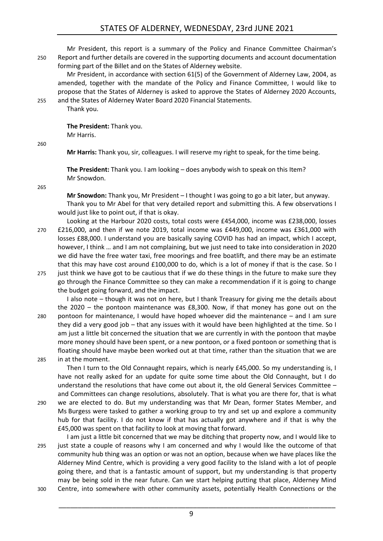# STATES OF ALDERNEY, WEDNESDAY, 23rd JUNE 2021

Mr President, this report is a summary of the Policy and Finance Committee Chairman's 250 Report and further details are covered in the supporting documents and account documentation forming part of the Billet and on the States of Alderney website.

Mr President, in accordance with section 61(5) of the Government of Alderney Law, 2004, as amended, together with the mandate of the Policy and Finance Committee, I would like to propose that the States of Alderney is asked to approve the States of Alderney 2020 Accounts, 255 and the States of Alderney Water Board 2020 Financial Statements.

Thank you.

**The President:** Thank you. Mr Harris.

260

**Mr Harris:** Thank you, sir, colleagues. I will reserve my right to speak, for the time being.

**The President:** Thank you. I am looking – does anybody wish to speak on this Item? Mr Snowdon.

265

**Mr Snowdon:** Thank you, Mr President – I thought I was going to go a bit later, but anyway. Thank you to Mr Abel for that very detailed report and submitting this. A few observations I would just like to point out, if that is okay.

- Looking at the Harbour 2020 costs, total costs were £454,000, income was £238,000, losses 270 £216,000, and then if we note 2019, total income was £449,000, income was £361,000 with losses £88,000. I understand you are basically saying COVID has had an impact, which I accept, however, I think … and I am not complaining, but we just need to take into consideration in 2020 we did have the free water taxi, free moorings and free boatlift, and there may be an estimate that this may have cost around £100,000 to do, which is a lot of money if that is the case. So I
- 275 just think we have got to be cautious that if we do these things in the future to make sure they go through the Finance Committee so they can make a recommendation if it is going to change the budget going forward, and the impact.

I also note – though it was not on here, but I thank Treasury for giving me the details about the 2020 – the pontoon maintenance was £8,300. Now, if that money has gone out on the 280 pontoon for maintenance, I would have hoped whoever did the maintenance – and I am sure they did a very good job – that any issues with it would have been highlighted at the time. So I am just a little bit concerned the situation that we are currently in with the pontoon that maybe more money should have been spent, or a new pontoon, or a fixed pontoon or something that is floating should have maybe been worked out at that time, rather than the situation that we are 285 in at the moment.

Then I turn to the Old Connaught repairs, which is nearly £45,000. So my understanding is, I have not really asked for an update for quite some time about the Old Connaught, but I do understand the resolutions that have come out about it, the old General Services Committee – and Committees can change resolutions, absolutely. That is what you are there for, that is what

- 290 we are elected to do. But my understanding was that Mr Dean, former States Member, and Ms Burgess were tasked to gather a working group to try and set up and explore a community hub for that facility. I do not know if that has actually got anywhere and if that is why the £45,000 was spent on that facility to look at moving that forward.
- I am just a little bit concerned that we may be ditching that property now, and I would like to 295 just state a couple of reasons why I am concerned and why I would like the outcome of that community hub thing was an option or was not an option, because when we have places like the Alderney Mind Centre, which is providing a very good facility to the Island with a lot of people going there, and that is a fantastic amount of support, but my understanding is that property may be being sold in the near future. Can we start helping putting that place, Alderney Mind 300 Centre, into somewhere with other community assets, potentially Health Connections or the

9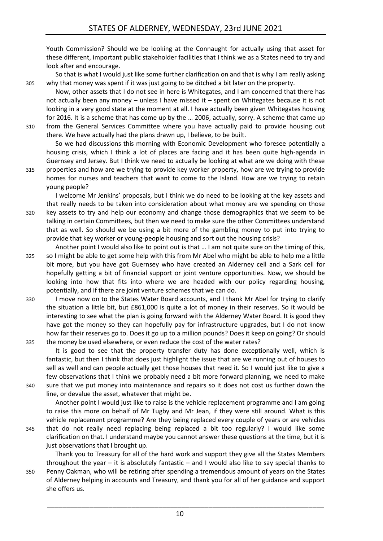Youth Commission? Should we be looking at the Connaught for actually using that asset for these different, important public stakeholder facilities that I think we as a States need to try and look after and encourage.

So that is what I would just like some further clarification on and that is why I am really asking 305 why that money was spent if it was just going to be ditched a bit later on the property.

Now, other assets that I do not see in here is Whitegates, and I am concerned that there has not actually been any money – unless I have missed it – spent on Whitegates because it is not looking in a very good state at the moment at all. I have actually been given Whitegates housing for 2016. It is a scheme that has come up by the … 2006, actually, sorry. A scheme that came up 310 from the General Services Committee where you have actually paid to provide housing out there. We have actually had the plans drawn up, I believe, to be built.

So we had discussions this morning with Economic Development who foresee potentially a housing crisis, which I think a lot of places are facing and it has been quite high-agenda in Guernsey and Jersey. But I think we need to actually be looking at what are we doing with these

315 properties and how are we trying to provide key worker property, how are we trying to provide homes for nurses and teachers that want to come to the Island. How are we trying to retain young people?

I welcome Mr Jenkins' proposals, but I think we do need to be looking at the key assets and that really needs to be taken into consideration about what money are we spending on those 320 key assets to try and help our economy and change those demographics that we seem to be talking in certain Committees, but then we need to make sure the other Committees understand that as well. So should we be using a bit more of the gambling money to put into trying to provide that key worker or young-people housing and sort out the housing crisis?

Another point I would also like to point out is that … I am not quite sure on the timing of this, 325 so I might be able to get some help with this from Mr Abel who might be able to help me a little bit more, but you have got Guernsey who have created an Alderney cell and a Sark cell for hopefully getting a bit of financial support or joint venture opportunities. Now, we should be looking into how that fits into where we are headed with our policy regarding housing, potentially, and if there are joint venture schemes that we can do.

330 I move now on to the States Water Board accounts, and I thank Mr Abel for trying to clarify the situation a little bit, but £861,000 is quite a lot of money in their reserves. So it would be interesting to see what the plan is going forward with the Alderney Water Board. It is good they have got the money so they can hopefully pay for infrastructure upgrades, but I do not know how far their reserves go to. Does it go up to a million pounds? Does it keep on going? Or should 335 the money be used elsewhere, or even reduce the cost of the water rates?

It is good to see that the property transfer duty has done exceptionally well, which is fantastic, but then I think that does just highlight the issue that are we running out of houses to sell as well and can people actually get those houses that need it. So I would just like to give a few observations that I think we probably need a bit more forward planning, we need to make 340 sure that we put money into maintenance and repairs so it does not cost us further down the line, or devalue the asset, whatever that might be.

Another point I would just like to raise is the vehicle replacement programme and I am going to raise this more on behalf of Mr Tugby and Mr Jean, if they were still around. What is this vehicle replacement programme? Are they being replaced every couple of years or are vehicles

345 that do not really need replacing being replaced a bit too regularly? I would like some clarification on that. I understand maybe you cannot answer these questions at the time, but it is just observations that I brought up.

Thank you to Treasury for all of the hard work and support they give all the States Members throughout the year – it is absolutely fantastic – and I would also like to say special thanks to 350 Penny Oakman, who will be retiring after spending a tremendous amount of years on the States of Alderney helping in accounts and Treasury, and thank you for all of her guidance and support she offers us.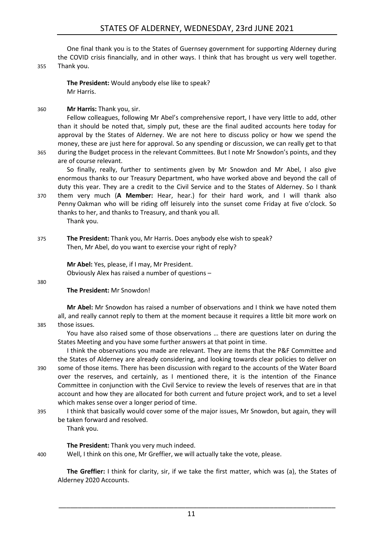# STATES OF ALDERNEY, WEDNESDAY, 23rd JUNE 2021

One final thank you is to the States of Guernsey government for supporting Alderney during the COVID crisis financially, and in other ways. I think that has brought us very well together.

#### 355 Thank you.

**The President:** Would anybody else like to speak? Mr Harris.

360 **Mr Harris:** Thank you, sir.

Fellow colleagues, following Mr Abel's comprehensive report, I have very little to add, other than it should be noted that, simply put, these are the final audited accounts here today for approval by the States of Alderney. We are not here to discuss policy or how we spend the money, these are just here for approval. So any spending or discussion, we can really get to that 365 during the Budget process in the relevant Committees. But I note Mr Snowdon's points, and they

are of course relevant.

So finally, really, further to sentiments given by Mr Snowdon and Mr Abel, I also give enormous thanks to our Treasury Department, who have worked above and beyond the call of duty this year. They are a credit to the Civil Service and to the States of Alderney. So I thank 370 them very much (**A Member:** Hear, hear.) for their hard work, and I will thank also

Penny Oakman who will be riding off leisurely into the sunset come Friday at five o'clock. So thanks to her, and thanks to Treasury, and thank you all.

Thank you.

375 **The President:** Thank you, Mr Harris. Does anybody else wish to speak? Then, Mr Abel, do you want to exercise your right of reply?

> **Mr Abel:** Yes, please, if I may, Mr President. Obviously Alex has raised a number of questions –

380

#### **The President:** Mr Snowdon!

**Mr Abel:** Mr Snowdon has raised a number of observations and I think we have noted them all, and really cannot reply to them at the moment because it requires a little bit more work on 385 those issues.

You have also raised some of those observations … there are questions later on during the States Meeting and you have some further answers at that point in time.

I think the observations you made are relevant. They are items that the P&F Committee and the States of Alderney are already considering, and looking towards clear policies to deliver on 390 some of those items. There has been discussion with regard to the accounts of the Water Board over the reserves, and certainly, as I mentioned there, it is the intention of the Finance Committee in conjunction with the Civil Service to review the levels of reserves that are in that account and how they are allocated for both current and future project work, and to set a level which makes sense over a longer period of time.

395 I think that basically would cover some of the major issues, Mr Snowdon, but again, they will be taken forward and resolved.

Thank you.

#### **The President:** Thank you very much indeed.

400 Well, I think on this one, Mr Greffier, we will actually take the vote, please.

**The Greffier:** I think for clarity, sir, if we take the first matter, which was (a), the States of Alderney 2020 Accounts.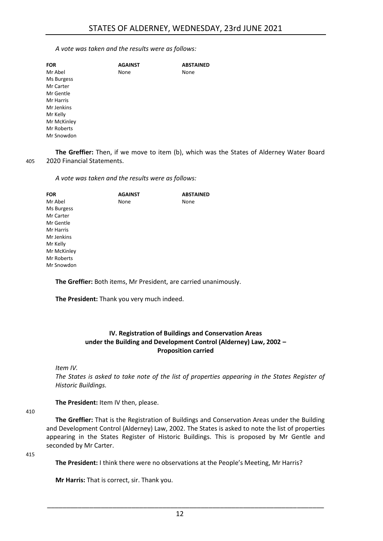*A vote was taken and the results were as follows:*

| <b>FOR</b>  | <b>AGAINST</b> | <b>ABSTAINED</b> |
|-------------|----------------|------------------|
| Mr Abel     | None           | None             |
| Ms Burgess  |                |                  |
| Mr Carter   |                |                  |
| Mr Gentle   |                |                  |
| Mr Harris   |                |                  |
| Mr Jenkins  |                |                  |
| Mr Kelly    |                |                  |
| Mr McKinley |                |                  |
| Mr Roberts  |                |                  |
| Mr Snowdon  |                |                  |

**The Greffier:** Then, if we move to item (b), which was the States of Alderney Water Board 405 2020 Financial Statements.

*A vote was taken and the results were as follows:*

| FOR         | <b>AGAINST</b> | <b>ABSTAINED</b> |
|-------------|----------------|------------------|
| Mr Abel     | None           | None             |
| Ms Burgess  |                |                  |
| Mr Carter   |                |                  |
| Mr Gentle   |                |                  |
| Mr Harris   |                |                  |
| Mr Jenkins  |                |                  |
| Mr Kelly    |                |                  |
| Mr McKinley |                |                  |
| Mr Roberts  |                |                  |
| Mr Snowdon  |                |                  |
|             |                |                  |

**The Greffier:** Both items, Mr President, are carried unanimously.

<span id="page-11-0"></span>**The President:** Thank you very much indeed.

#### **IV. Registration of Buildings and Conservation Areas under the Building and Development Control (Alderney) Law, 2002 – Proposition carried**

*Item IV.*

*The States is asked to take note of the list of properties appearing in the States Register of Historic Buildings.*

**The President:** Item IV then, please.

410

**The Greffier:** That is the Registration of Buildings and Conservation Areas under the Building and Development Control (Alderney) Law, 2002. The States is asked to note the list of properties appearing in the States Register of Historic Buildings. This is proposed by Mr Gentle and seconded by Mr Carter.

415

**The President:** I think there were no observations at the People's Meeting, Mr Harris?

**Mr Harris:** That is correct, sir. Thank you.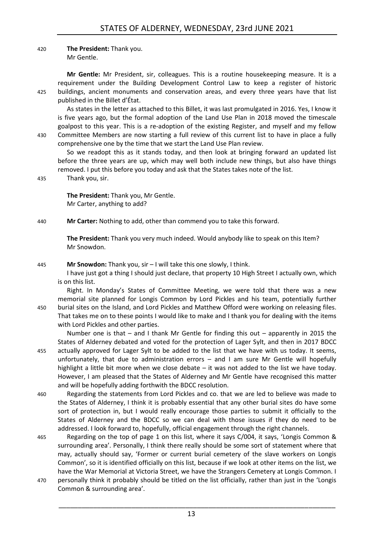#### 420 **The President:** Thank you. Mr Gentle.

**Mr Gentle:** Mr President, sir, colleagues. This is a routine housekeeping measure. It is a requirement under the Building Development Control Law to keep a register of historic 425 buildings, ancient monuments and conservation areas, and every three years have that list published in the Billet d'État.

As states in the letter as attached to this Billet, it was last promulgated in 2016. Yes, I know it is five years ago, but the formal adoption of the Land Use Plan in 2018 moved the timescale goalpost to this year. This is a re-adoption of the existing Register, and myself and my fellow 430 Committee Members are now starting a full review of this current list to have in place a fully comprehensive one by the time that we start the Land Use Plan review.

So we readopt this as it stands today, and then look at bringing forward an updated list before the three years are up, which may well both include new things, but also have things removed. I put this before you today and ask that the States takes note of the list.

435 Thank you, sir.

**The President:** Thank you, Mr Gentle. Mr Carter, anything to add?

440 **Mr Carter:** Nothing to add, other than commend you to take this forward.

**The President:** Thank you very much indeed. Would anybody like to speak on this Item? Mr Snowdon.

#### 445 **Mr Snowdon:** Thank you, sir – I will take this one slowly, I think.

I have just got a thing I should just declare, that property 10 High Street I actually own, which is on this list.

Right. In Monday's States of Committee Meeting, we were told that there was a new memorial site planned for Longis Common by Lord Pickles and his team, potentially further 450 burial sites on the Island, and Lord Pickles and Matthew Offord were working on releasing files. That takes me on to these points I would like to make and I thank you for dealing with the items with Lord Pickles and other parties.

Number one is that – and I thank Mr Gentle for finding this out – apparently in 2015 the States of Alderney debated and voted for the protection of Lager Sylt, and then in 2017 BDCC 455 actually approved for Lager Sylt to be added to the list that we have with us today. It seems, unfortunately, that due to administration errors – and I am sure Mr Gentle will hopefully highlight a little bit more when we close debate – it was not added to the list we have today. However, I am pleased that the States of Alderney and Mr Gentle have recognised this matter and will be hopefully adding forthwith the BDCC resolution.

460 Regarding the statements from Lord Pickles and co. that we are led to believe was made to the States of Alderney, I think it is probably essential that any other burial sites do have some sort of protection in, but I would really encourage those parties to submit it officially to the States of Alderney and the BDCC so we can deal with those issues if they do need to be addressed. I look forward to, hopefully, official engagement through the right channels.

- 465 Regarding on the top of page 1 on this list, where it says C/004, it says, 'Longis Common & surrounding area'. Personally, I think there really should be some sort of statement where that may, actually should say, 'Former or current burial cemetery of the slave workers on Longis Common', so it is identified officially on this list, because if we look at other items on the list, we have the War Memorial at Victoria Street, we have the Strangers Cemetery at Longis Common. I
- 470 personally think it probably should be titled on the list officially, rather than just in the 'Longis Common & surrounding area'.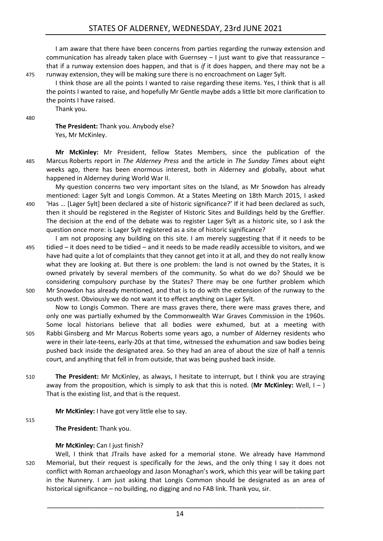# STATES OF ALDERNEY, WEDNESDAY, 23rd JUNE 2021

I am aware that there have been concerns from parties regarding the runway extension and communication has already taken place with Guernsey – I just want to give that reassurance – that if a runway extension does happen, and that is *if* it does happen, and there may not be a 475 runway extension, they will be making sure there is no encroachment on Lager Sylt.

I think those are all the points I wanted to raise regarding these items. Yes, I think that is all the points I wanted to raise, and hopefully Mr Gentle maybe adds a little bit more clarification to the points I have raised.

Thank you.

480

**The President:** Thank you. Anybody else? Yes, Mr McKinley.

**Mr McKinley:** Mr President, fellow States Members, since the publication of the 485 Marcus Roberts report in *The Alderney Press* and the article in *The Sunday Times* about eight weeks ago, there has been enormous interest, both in Alderney and globally, about what happened in Alderney during World War II.

My question concerns two very important sites on the Island, as Mr Snowdon has already mentioned: Lager Sylt and Longis Common. At a States Meeting on 18th March 2015, I asked 490 'Has … [Lager Sylt] been declared a site of historic significance?' If it had been declared as such,

- then it should be registered in the Register of Historic Sites and Buildings held by the Greffier. The decision at the end of the debate was to register Lager Sylt as a historic site, so I ask the question once more: is Lager Sylt registered as a site of historic significance?
- I am not proposing any building on this site. I am merely suggesting that if it needs to be 495 tidied – it does need to be tidied – and it needs to be made readily accessible to visitors, and we have had quite a lot of complaints that they cannot get into it at all, and they do not really know what they are looking at. But there is one problem: the land is not owned by the States, it is owned privately by several members of the community. So what do we do? Should we be considering compulsory purchase by the States? There may be one further problem which 500 Mr Snowdon has already mentioned, and that is to do with the extension of the runway to the
- south west. Obviously we do not want it to effect anything on Lager Sylt.

court, and anything that fell in from outside, that was being pushed back inside.

Now to Longis Common. There are mass graves there, there were mass graves there, and only one was partially exhumed by the Commonwealth War Graves Commission in the 1960s. Some local historians believe that all bodies were exhumed, but at a meeting with 505 Rabbi Ginsberg and Mr Marcus Roberts some years ago, a number of Alderney residents who were in their late-teens, early-20s at that time, witnessed the exhumation and saw bodies being pushed back inside the designated area. So they had an area of about the size of half a tennis

510 **The President:** Mr McKinley, as always, I hesitate to interrupt, but I think you are straying away from the proposition, which is simply to ask that this is noted. (Mr McKinley: Well, I – ) That is the existing list, and that is the request.

**Mr McKinley:** I have got very little else to say.

515

**The President:** Thank you.

#### **Mr McKinley:** Can I just finish?

Well, I think that JTrails have asked for a memorial stone. We already have Hammond 520 Memorial, but their request is specifically for the Jews, and the only thing I say it does not conflict with Roman archaeology and Jason Monaghan's work, which this year will be taking part in the Nunnery. I am just asking that Longis Common should be designated as an area of historical significance – no building, no digging and no FAB link. Thank you, sir.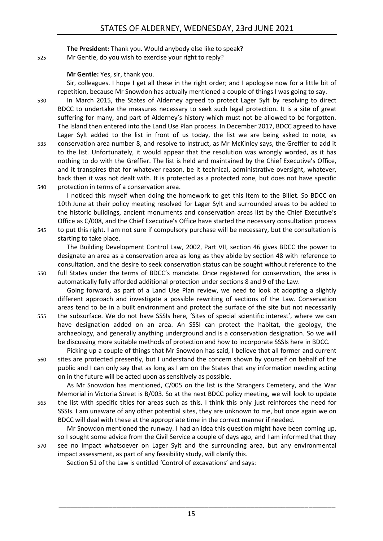**The President:** Thank you. Would anybody else like to speak? 525 Mr Gentle, do you wish to exercise your right to reply?

**Mr Gentle:** Yes, sir, thank you.

Sir, colleagues. I hope I get all these in the right order; and I apologise now for a little bit of repetition, because Mr Snowdon has actually mentioned a couple of things I was going to say.

530 In March 2015, the States of Alderney agreed to protect Lager Sylt by resolving to direct BDCC to undertake the measures necessary to seek such legal protection. It is a site of great suffering for many, and part of Alderney's history which must not be allowed to be forgotten. The Island then entered into the Land Use Plan process. In December 2017, BDCC agreed to have Lager Sylt added to the list in front of us today, the list we are being asked to note, as 535 conservation area number 8, and resolve to instruct, as Mr McKinley says, the Greffier to add it to the list. Unfortunately, it would appear that the resolution was wrongly worded, as it has nothing to do with the Greffier. The list is held and maintained by the Chief Executive's Office, and it transpires that for whatever reason, be it technical, administrative oversight, whatever, back then it was not dealt with. It is protected as a protected zone, but does not have specific 540 protection in terms of a conservation area.

I noticed this myself when doing the homework to get this Item to the Billet. So BDCC on 10th June at their policy meeting resolved for Lager Sylt and surrounded areas to be added to the historic buildings, ancient monuments and conservation areas list by the Chief Executive's Office as C/008, and the Chief Executive's Office have started the necessary consultation process 545 to put this right. I am not sure if compulsory purchase will be necessary, but the consultation is starting to take place.

The Building Development Control Law, 2002, Part VII, section 46 gives BDCC the power to designate an area as a conservation area as long as they abide by section 48 with reference to consultation, and the desire to seek conservation status can be sought without reference to the 550 full States under the terms of BDCC's mandate. Once registered for conservation, the area is automatically fully afforded additional protection under sections 8 and 9 of the Law.

Going forward, as part of a Land Use Plan review, we need to look at adopting a slightly different approach and investigate a possible rewriting of sections of the Law. Conservation areas tend to be in a built environment and protect the surface of the site but not necessarily 555 the subsurface. We do not have SSSIs here, 'Sites of special scientific interest', where we can have designation added on an area. An SSSI can protect the habitat, the geology, the archaeology, and generally anything underground and is a conservation designation. So we will be discussing more suitable methods of protection and how to incorporate SSSIs here in BDCC.

Picking up a couple of things that Mr Snowdon has said, I believe that all former and current 560 sites are protected presently, but I understand the concern shown by yourself on behalf of the public and I can only say that as long as I am on the States that any information needing acting on in the future will be acted upon as sensitively as possible.

As Mr Snowdon has mentioned, C/005 on the list is the Strangers Cemetery, and the War Memorial in Victoria Street is B/003. So at the next BDCC policy meeting, we will look to update 565 the list with specific titles for areas such as this. I think this only just reinforces the need for SSSIs. I am unaware of any other potential sites, they are unknown to me, but once again we on BDCC will deal with these at the appropriate time in the correct manner if needed.

Mr Snowdon mentioned the runway. I had an idea this question might have been coming up, so I sought some advice from the Civil Service a couple of days ago, and I am informed that they 570 see no impact whatsoever on Lager Sylt and the surrounding area, but any environmental impact assessment, as part of any feasibility study, will clarify this.

Section 51 of the Law is entitled 'Control of excavations' and says:

15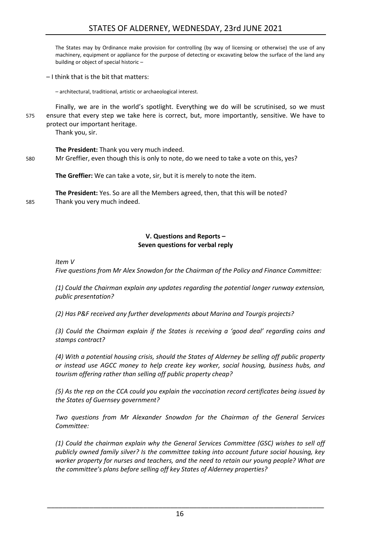The States may by Ordinance make provision for controlling (by way of licensing or otherwise) the use of any machinery, equipment or appliance for the purpose of detecting or excavating below the surface of the land any building or object of special historic –

– I think that is the bit that matters:

– architectural, traditional, artistic or archaeological interest.

Finally, we are in the world's spotlight. Everything we do will be scrutinised, so we must 575 ensure that every step we take here is correct, but, more importantly, sensitive. We have to protect our important heritage.

Thank you, sir.

**The President:** Thank you very much indeed.

580 Mr Greffier, even though this is only to note, do we need to take a vote on this, yes?

**The Greffier:** We can take a vote, sir, but it is merely to note the item.

**The President:** Yes. So are all the Members agreed, then, that this will be noted? 585 Thank you very much indeed.

### **V. Questions and Reports – Seven questions for verbal reply**

<span id="page-15-0"></span>*Item V*

*Five questions from Mr Alex Snowdon for the Chairman of the Policy and Finance Committee:*

*(1) Could the Chairman explain any updates regarding the potential longer runway extension, public presentation?*

*(2) Has P&F received any further developments about Marina and Tourgis projects?*

*(3) Could the Chairman explain if the States is receiving a 'good deal' regarding coins and stamps contract?*

*(4) With a potential housing crisis, should the States of Alderney be selling off public property or instead use AGCC money to help create key worker, social housing, business hubs, and tourism offering rather than selling off public property cheap?*

*(5) As the rep on the CCA could you explain the vaccination record certificates being issued by the States of Guernsey government?*

*Two questions from Mr Alexander Snowdon for the Chairman of the General Services Committee:*

*(1) Could the chairman explain why the General Services Committee (GSC) wishes to sell off publicly owned family silver? Is the committee taking into account future social housing, key worker property for nurses and teachers, and the need to retain our young people? What are the committee's plans before selling off key States of Alderney properties?*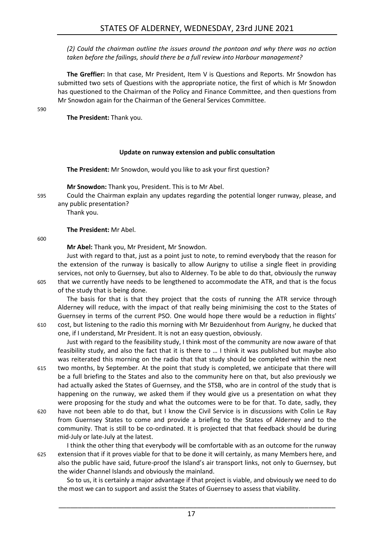*(2) Could the chairman outline the issues around the pontoon and why there was no action taken before the failings, should there be a full review into Harbour management?*

**The Greffier:** In that case, Mr President, Item V is Questions and Reports. Mr Snowdon has submitted two sets of Questions with the appropriate notice, the first of which is Mr Snowdon has questioned to the Chairman of the Policy and Finance Committee, and then questions from Mr Snowdon again for the Chairman of the General Services Committee.

590

**The President:** Thank you.

#### **Update on runway extension and public consultation**

<span id="page-16-0"></span>**The President:** Mr Snowdon, would you like to ask your first question?

**Mr Snowdon:** Thank you, President. This is to Mr Abel.

595 Could the Chairman explain any updates regarding the potential longer runway, please, and any public presentation?

Thank you.

**The President:** Mr Abel.

600

**Mr Abel:** Thank you, Mr President, Mr Snowdon.

Just with regard to that, just as a point just to note, to remind everybody that the reason for the extension of the runway is basically to allow Aurigny to utilise a single fleet in providing services, not only to Guernsey, but also to Alderney. To be able to do that, obviously the runway 605 that we currently have needs to be lengthened to accommodate the ATR, and that is the focus of the study that is being done.

The basis for that is that they project that the costs of running the ATR service through Alderney will reduce, with the impact of that really being minimising the cost to the States of Guernsey in terms of the current PSO. One would hope there would be a reduction in flights' 610 cost, but listening to the radio this morning with Mr Bezuidenhout from Aurigny, he ducked that

one, if I understand, Mr President. It is not an easy question, obviously.

Just with regard to the feasibility study, I think most of the community are now aware of that feasibility study, and also the fact that it is there to … I think it was published but maybe also was reiterated this morning on the radio that that study should be completed within the next

- 615 two months, by September. At the point that study is completed, we anticipate that there will be a full briefing to the States and also to the community here on that, but also previously we had actually asked the States of Guernsey, and the STSB, who are in control of the study that is happening on the runway, we asked them if they would give us a presentation on what they were proposing for the study and what the outcomes were to be for that. To date, sadly, they
- 620 have not been able to do that, but I know the Civil Service is in discussions with Colin Le Ray from Guernsey States to come and provide a briefing to the States of Alderney and to the community. That is still to be co-ordinated. It is projected that that feedback should be during mid-July or late-July at the latest.
- I think the other thing that everybody will be comfortable with as an outcome for the runway 625 extension that if it proves viable for that to be done it will certainly, as many Members here, and also the public have said, future-proof the Island's air transport links, not only to Guernsey, but the wider Channel Islands and obviously the mainland.

So to us, it is certainly a major advantage if that project is viable, and obviously we need to do the most we can to support and assist the States of Guernsey to assess that viability.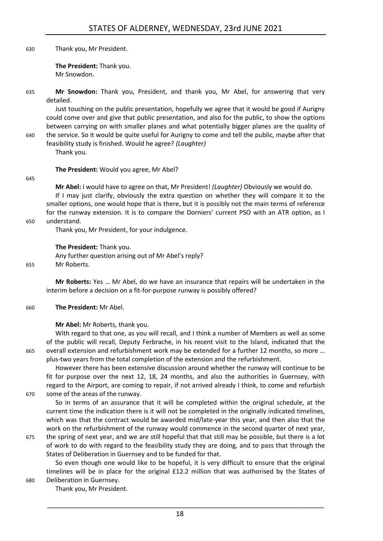630 Thank you, Mr President.

**The President:** Thank you. Mr Snowdon.

635 **Mr Snowdon:** Thank you, President, and thank you, Mr Abel, for answering that very detailed.

Just touching on the public presentation, hopefully we agree that it would be good if Aurigny could come over and give that public presentation, and also for the public, to show the options between carrying on with smaller planes and what potentially bigger planes are the quality of 640 the service. So it would be quite useful for Aurigny to come and tell the public, maybe after that

feasibility study is finished. Would he agree? *(Laughter)* Thank you.

**The President:** Would you agree, Mr Abel?

#### 645

**Mr Abel:** I would have to agree on that, Mr President! *(Laughter)* Obviously we would do.

If I may just clarify, obviously the extra question on whether they will compare it to the smaller options, one would hope that is there, but it is possibly not the main terms of reference for the runway extension. It is to compare the Dorniers' current PSO with an ATR option, as I 650 understand.

Thank you, Mr President, for your indulgence.

**The President:** Thank you.

Any further question arising out of Mr Abel's reply? 655 Mr Roberts.

**Mr Roberts:** Yes … Mr Abel, do we have an insurance that repairs will be undertaken in the interim before a decision on a fit-for-purpose runway is possibly offered?

660 **The President:** Mr Abel.

**Mr Abel:** Mr Roberts, thank you.

With regard to that one, as you will recall, and I think a number of Members as well as some of the public will recall, Deputy Ferbrache, in his recent visit to the Island, indicated that the 665 overall extension and refurbishment work may be extended for a further 12 months, so more … plus-two years from the total completion of the extension and the refurbishment.

However there has been extensive discussion around whether the runway will continue to be fit for purpose over the next 12, 18, 24 months, and also the authorities in Guernsey, with regard to the Airport, are coming to repair, if not arrived already I think, to come and refurbish 670 some of the areas of the runway.

So in terms of an assurance that it will be completed within the original schedule, at the current time the indication there is it will not be completed in the originally indicated timelines, which was that the contract would be awarded mid/late-year this year, and then also that the work on the refurbishment of the runway would commence in the second quarter of next year,

675 the spring of next year, and we are still hopeful that that still may be possible, but there is a lot of work to do with regard to the feasibility study they are doing, and to pass that through the States of Deliberation in Guernsey and to be funded for that.

So even though one would like to be hopeful, it is very difficult to ensure that the original timelines will be in place for the original £12.2 million that was authorised by the States of 680 Deliberation in Guernsey.

Thank you, Mr President.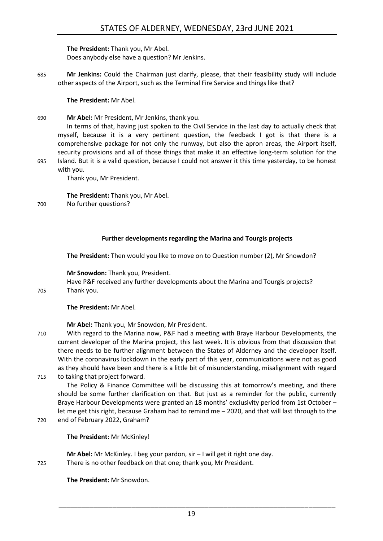**The President:** Thank you, Mr Abel. Does anybody else have a question? Mr Jenkins.

685 **Mr Jenkins:** Could the Chairman just clarify, please, that their feasibility study will include other aspects of the Airport, such as the Terminal Fire Service and things like that?

**The President:** Mr Abel.

690 **Mr Abel:** Mr President, Mr Jenkins, thank you.

In terms of that, having just spoken to the Civil Service in the last day to actually check that myself, because it is a very pertinent question, the feedback I got is that there is a comprehensive package for not only the runway, but also the apron areas, the Airport itself, security provisions and all of those things that make it an effective long-term solution for the 695 Island. But it is a valid question, because I could not answer it this time yesterday, to be honest with you.

Thank you, Mr President.

**The President:** Thank you, Mr Abel.

700 No further questions?

### **Further developments regarding the Marina and Tourgis projects**

<span id="page-18-0"></span>**The President:** Then would you like to move on to Question number (2), Mr Snowdon?

**Mr Snowdon:** Thank you, President.

Have P&F received any further developments about the Marina and Tourgis projects? 705 Thank you.

#### **The President:** Mr Abel.

**Mr Abel:** Thank you, Mr Snowdon, Mr President.

710 With regard to the Marina now, P&F had a meeting with Braye Harbour Developments, the current developer of the Marina project, this last week. It is obvious from that discussion that there needs to be further alignment between the States of Alderney and the developer itself. With the coronavirus lockdown in the early part of this year, communications were not as good as they should have been and there is a little bit of misunderstanding, misalignment with regard 715 to taking that project forward.

The Policy & Finance Committee will be discussing this at tomorrow's meeting, and there should be some further clarification on that. But just as a reminder for the public, currently Braye Harbour Developments were granted an 18 months' exclusivity period from 1st October – let me get this right, because Graham had to remind me – 2020, and that will last through to the 720 end of February 2022, Graham?

**Mr Abel:** Mr McKinley. I beg your pardon, sir – I will get it right one day. 725 There is no other feedback on that one; thank you, Mr President.

**The President:** Mr Snowdon.

**The President:** Mr McKinley!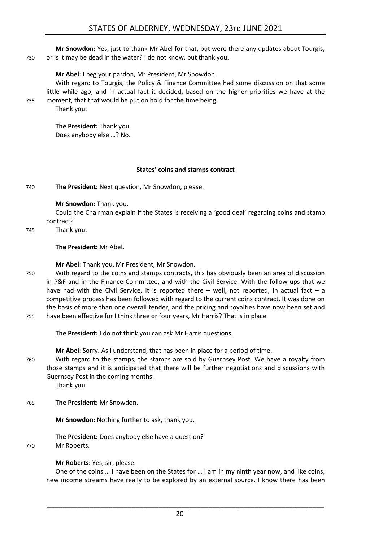**Mr Snowdon:** Yes, just to thank Mr Abel for that, but were there any updates about Tourgis, 730 or is it may be dead in the water? I do not know, but thank you.

### **Mr Abel:** I beg your pardon, Mr President, Mr Snowdon.

With regard to Tourgis, the Policy & Finance Committee had some discussion on that some little while ago, and in actual fact it decided, based on the higher priorities we have at the 735 moment, that that would be put on hold for the time being.

Thank you.

**The President:** Thank you. Does anybody else …? No.

#### **States' coins and stamps contract**

<span id="page-19-0"></span>740 **The President:** Next question, Mr Snowdon, please.

#### **Mr Snowdon:** Thank you.

Could the Chairman explain if the States is receiving a 'good deal' regarding coins and stamp contract?

745 Thank you.

#### **The President:** Mr Abel.

**Mr Abel:** Thank you, Mr President, Mr Snowdon.

750 With regard to the coins and stamps contracts, this has obviously been an area of discussion in P&F and in the Finance Committee, and with the Civil Service. With the follow-ups that we have had with the Civil Service, it is reported there  $-$  well, not reported, in actual fact  $-$  a competitive process has been followed with regard to the current coins contract. It was done on the basis of more than one overall tender, and the pricing and royalties have now been set and 755 have been effective for I think three or four years, Mr Harris? That is in place.

**The President:** I do not think you can ask Mr Harris questions.

**Mr Abel:** Sorry. As I understand, that has been in place for a period of time.

760 With regard to the stamps, the stamps are sold by Guernsey Post. We have a royalty from those stamps and it is anticipated that there will be further negotiations and discussions with Guernsey Post in the coming months.

Thank you.

765 **The President:** Mr Snowdon.

**Mr Snowdon:** Nothing further to ask, thank you.

**The President:** Does anybody else have a question?

770 Mr Roberts.

**Mr Roberts:** Yes, sir, please.

One of the coins … I have been on the States for … I am in my ninth year now, and like coins, new income streams have really to be explored by an external source. I know there has been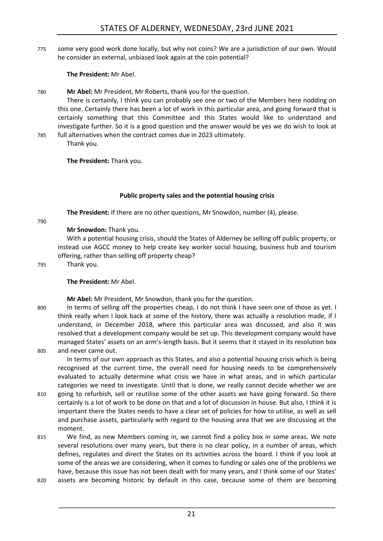775 some very good work done locally, but why not coins? We are a jurisdiction of our own. Would he consider an external, unbiased look again at the coin potential?

**The President:** Mr Abel.

780 **Mr Abel:** Mr President, Mr Roberts, thank you for the question.

There is certainly, I think you can probably see one or two of the Members here nodding on this one. Certainly there has been a lot of work in this particular area, and going forward that is certainly something that this Committee and this States would like to understand and investigate further. So it is a good question and the answer would be yes we do wish to look at

785 full alternatives when the contract comes due in 2023 ultimately. Thank you.

**The President:** Thank you.

# **Public property sales and the potential housing crisis**

<span id="page-20-0"></span>**The President:** If there are no other questions, Mr Snowdon, number (4), please.

790

# **Mr Snowdon:** Thank you.

With a potential housing crisis, should the States of Alderney be selling off public property, or instead use AGCC money to help create key worker social housing, business hub and tourism offering, rather than selling off property cheap?

795 Thank you.

# **The President:** Mr Abel.

**Mr Abel:** Mr President, Mr Snowdon, thank you for the question.

800 In terms of selling off the properties cheap, I do not think I have seen one of those as yet. I think really when I look back at some of the history, there was actually a resolution made, if I understand, in December 2018, where this particular area was discussed, and also it was resolved that a development company would be set up. This development company would have

managed States' assets on an arm's-length basis. But it seems that it stayed in its resolution box 805 and never came out.

In terms of our own approach as this States, and also a potential housing crisis which is being recognised at the current time, the overall need for housing needs to be comprehensively evaluated to actually determine what crisis we have in what areas, and in which particular categories we need to investigate. Until that is done, we really cannot decide whether we are

- 810 going to refurbish, sell or reutilise some of the other assets we have going forward. So there certainly is a lot of work to be done on that and a lot of discussion in house. But also, I think it is important there the States needs to have a clear set of policies for how to utilise, as well as sell and purchase assets, particularly with regard to the housing area that we are discussing at the moment.
- 815 We find, as new Members coming in, we cannot find a policy box in some areas. We note several resolutions over many years, but there is no clear policy, in a number of areas, which defines, regulates and direct the States on its activities across the board. I think if you look at some of the areas we are considering, when it comes to funding or sales one of the problems we have, because this issue has not been dealt with for many years, and I think some of our States'
- 820 assets are becoming historic by default in this case, because some of them are becoming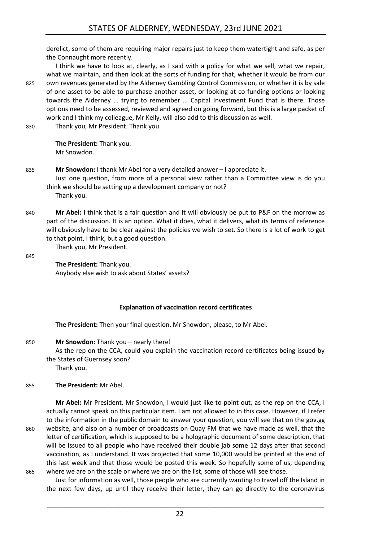derelict, some of them are requiring major repairs just to keep them watertight and safe, as per the Connaught more recently.

I think we have to look at, clearly, as I said with a policy for what we sell, what we repair, what we maintain, and then look at the sorts of funding for that, whether it would be from our 825 own revenues generated by the Alderney Gambling Control Commission, or whether it is by sale of one asset to be able to purchase another asset, or looking at co-funding options or looking towards the Alderney … trying to remember … Capital Investment Fund that is there. Those options need to be assessed, reviewed and agreed on going forward, but this is a large packet of work and I think my colleague, Mr Kelly, will also add to this discussion as well.

830 Thank you, Mr President. Thank you.

**The President:** Thank you. Mr Snowdon.

Thank you, Mr President.

- 835 **Mr Snowdon:** I thank Mr Abel for a very detailed answer I appreciate it. Just one question, from more of a personal view rather than a Committee view is do you think we should be setting up a development company or not? Thank you.
- 840 **Mr Abel:** I think that is a fair question and it will obviously be put to P&F on the morrow as part of the discussion. It is an option. What it does, what it delivers, what its terms of reference will obviously have to be clear against the policies we wish to set. So there is a lot of work to get to that point, I think, but a good question.

845

**The President:** Thank you. Anybody else wish to ask about States' assets?

#### **Explanation of vaccination record certificates**

<span id="page-21-0"></span>**The President:** Then your final question, Mr Snowdon, please, to Mr Abel.

850 **Mr Snowdon:** Thank you – nearly there!

As the rep on the CCA, could you explain the vaccination record certificates being issued by the States of Guernsey soon?

Thank you.

#### 855 **The President:** Mr Abel.

**Mr Abel:** Mr President, Mr Snowdon, I would just like to point out, as the rep on the CCA, I actually cannot speak on this particular item. I am not allowed to in this case. However, if I refer to the information in the public domain to answer your question, you will see that on the gov.gg 860 website, and also on a number of broadcasts on Quay FM that we have made as well, that the letter of certification, which is supposed to be a holographic document of some description, that will be issued to all people who have received their double jab some 12 days after that second vaccination, as I understand. It was projected that some 10,000 would be printed at the end of this last week and that those would be posted this week. So hopefully some of us, depending 865 where we are on the scale or where we are on the list, some of those will see those.

Just for information as well, those people who are currently wanting to travel off the Island in the next few days, up until they receive their letter, they can go directly to the coronavirus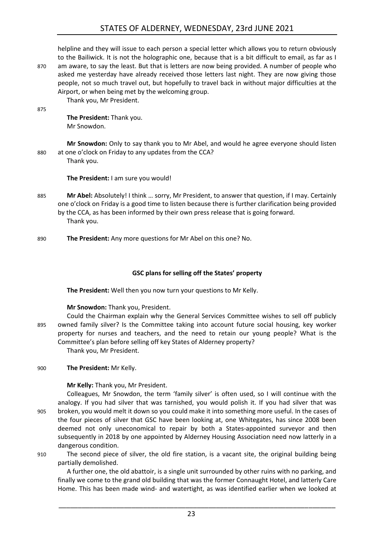# STATES OF ALDERNEY, WEDNESDAY, 23rd JUNE 2021

helpline and they will issue to each person a special letter which allows you to return obviously to the Bailiwick. It is not the holographic one, because that is a bit difficult to email, as far as I 870 am aware, to say the least. But that is letters are now being provided. A number of people who asked me yesterday have already received those letters last night. They are now giving those people, not so much travel out, but hopefully to travel back in without major difficulties at the Airport, or when being met by the welcoming group. Thank you, Mr President.

875

**The President:** Thank you. Mr Snowdon.

**Mr Snowdon:** Only to say thank you to Mr Abel, and would he agree everyone should listen 880 at one o'clock on Friday to any updates from the CCA? Thank you.

**The President:** I am sure you would!

- 885 **Mr Abel:** Absolutely! I think … sorry, Mr President, to answer that question, if I may. Certainly one o'clock on Friday is a good time to listen because there is further clarification being provided by the CCA, as has been informed by their own press release that is going forward. Thank you.
- 890 **The President:** Any more questions for Mr Abel on this one? No.

#### **GSC plans for selling off the States' property**

<span id="page-22-0"></span>**The President:** Well then you now turn your questions to Mr Kelly.

#### **Mr Snowdon:** Thank you, President.

Could the Chairman explain why the General Services Committee wishes to sell off publicly 895 owned family silver? Is the Committee taking into account future social housing, key worker property for nurses and teachers, and the need to retain our young people? What is the Committee's plan before selling off key States of Alderney property?

Thank you, Mr President.

#### 900 **The President:** Mr Kelly.

#### **Mr Kelly:** Thank you, Mr President.

Colleagues, Mr Snowdon, the term 'family silver' is often used, so I will continue with the analogy. If you had silver that was tarnished, you would polish it. If you had silver that was 905 broken, you would melt it down so you could make it into something more useful. In the cases of the four pieces of silver that GSC have been looking at, one Whitegates, has since 2008 been deemed not only uneconomical to repair by both a States-appointed surveyor and then subsequently in 2018 by one appointed by Alderney Housing Association need now latterly in a dangerous condition.

910 The second piece of silver, the old fire station, is a vacant site, the original building being partially demolished.

A further one, the old abattoir, is a single unit surrounded by other ruins with no parking, and finally we come to the grand old building that was the former Connaught Hotel, and latterly Care Home. This has been made wind- and watertight, as was identified earlier when we looked at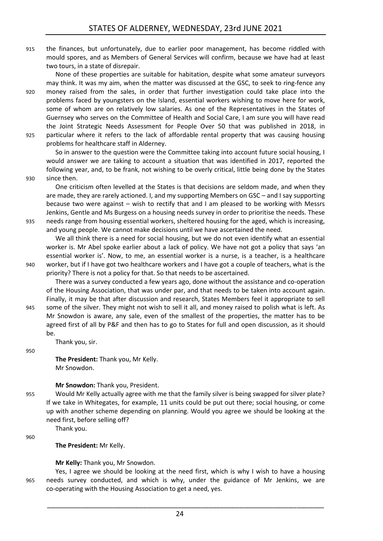915 the finances, but unfortunately, due to earlier poor management, has become riddled with mould spores, and as Members of General Services will confirm, because we have had at least two tours, in a state of disrepair.

None of these properties are suitable for habitation, despite what some amateur surveyors may think. It was my aim, when the matter was discussed at the GSC, to seek to ring-fence any 920 money raised from the sales, in order that further investigation could take place into the problems faced by youngsters on the Island, essential workers wishing to move here for work, some of whom are on relatively low salaries. As one of the Representatives in the States of Guernsey who serves on the Committee of Health and Social Care, I am sure you will have read the Joint Strategic Needs Assessment for People Over 50 that was published in 2018, in 925 particular where it refers to the lack of affordable rental property that was causing housing problems for healthcare staff in Alderney.

So in answer to the question were the Committee taking into account future social housing, I would answer we are taking to account a situation that was identified in 2017, reported the following year, and, to be frank, not wishing to be overly critical, little being done by the States 930 since then.

One criticism often levelled at the States is that decisions are seldom made, and when they are made, they are rarely actioned. I, and my supporting Members on GSC – and I say supporting because two were against – wish to rectify that and I am pleased to be working with Messrs Jenkins, Gentle and Ms Burgess on a housing needs survey in order to prioritise the needs. These 935 needs range from housing essential workers, sheltered housing for the aged, which is increasing, and young people. We cannot make decisions until we have ascertained the need.

We all think there is a need for social housing, but we do not even identify what an essential worker is. Mr Abel spoke earlier about a lack of policy. We have not got a policy that says 'an essential worker is'. Now, to me, an essential worker is a nurse, is a teacher, is a healthcare 940 worker, but if I have got two healthcare workers and I have got a couple of teachers, what is the priority? There is not a policy for that. So that needs to be ascertained.

There was a survey conducted a few years ago, done without the assistance and co-operation of the Housing Association, that was under par, and that needs to be taken into account again. Finally, it may be that after discussion and research, States Members feel it appropriate to sell 945 some of the silver. They might not wish to sell it all, and money raised to polish what is left. As Mr Snowdon is aware, any sale, even of the smallest of the properties, the matter has to be agreed first of all by P&F and then has to go to States for full and open discussion, as it should

be. Thank you, sir.

Thank you.

950

**The President:** Thank you, Mr Kelly. Mr Snowdon.

#### **Mr Snowdon:** Thank you, President.

955 Would Mr Kelly actually agree with me that the family silver is being swapped for silver plate? If we take in Whitegates, for example, 11 units could be put out there; social housing, or come up with another scheme depending on planning. Would you agree we should be looking at the need first, before selling off?

960

**The President:** Mr Kelly.

**Mr Kelly:** Thank you, Mr Snowdon.

Yes, I agree we should be looking at the need first, which is why I wish to have a housing 965 needs survey conducted, and which is why, under the guidance of Mr Jenkins, we are co-operating with the Housing Association to get a need, yes.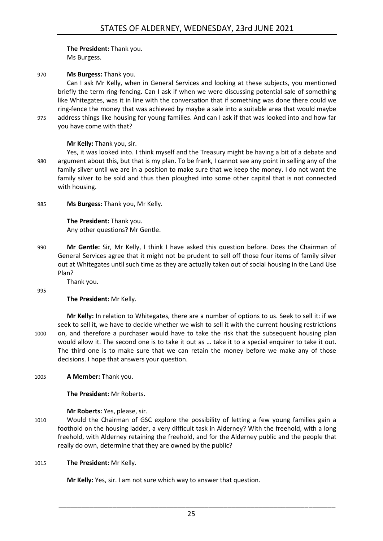**The President:** Thank you. Ms Burgess.

970 **Ms Burgess:** Thank you.

Can I ask Mr Kelly, when in General Services and looking at these subjects, you mentioned briefly the term ring-fencing. Can I ask if when we were discussing potential sale of something like Whitegates, was it in line with the conversation that if something was done there could we ring-fence the money that was achieved by maybe a sale into a suitable area that would maybe 975 address things like housing for young families. And can I ask if that was looked into and how far you have come with that?

**Mr Kelly:** Thank you, sir.

Yes, it was looked into. I think myself and the Treasury might be having a bit of a debate and 980 argument about this, but that is my plan. To be frank, I cannot see any point in selling any of the family silver until we are in a position to make sure that we keep the money. I do not want the family silver to be sold and thus then ploughed into some other capital that is not connected with housing.

985 **Ms Burgess:** Thank you, Mr Kelly.

**The President:** Thank you. Any other questions? Mr Gentle.

990 **Mr Gentle:** Sir, Mr Kelly, I think I have asked this question before. Does the Chairman of General Services agree that it might not be prudent to sell off those four items of family silver out at Whitegates until such time as they are actually taken out of social housing in the Land Use Plan?

Thank you.

995

**The President:** Mr Kelly.

**Mr Kelly:** In relation to Whitegates, there are a number of options to us. Seek to sell it: if we seek to sell it, we have to decide whether we wish to sell it with the current housing restrictions 1000 on, and therefore a purchaser would have to take the risk that the subsequent housing plan would allow it. The second one is to take it out as … take it to a special enquirer to take it out. The third one is to make sure that we can retain the money before we make any of those decisions. I hope that answers your question.

1005 **A Member:** Thank you.

**The President:** Mr Roberts.

**Mr Roberts:** Yes, please, sir.

1010 Would the Chairman of GSC explore the possibility of letting a few young families gain a foothold on the housing ladder, a very difficult task in Alderney? With the freehold, with a long freehold, with Alderney retaining the freehold, and for the Alderney public and the people that really do own, determine that they are owned by the public?

1015 **The President:** Mr Kelly.

**Mr Kelly:** Yes, sir. I am not sure which way to answer that question.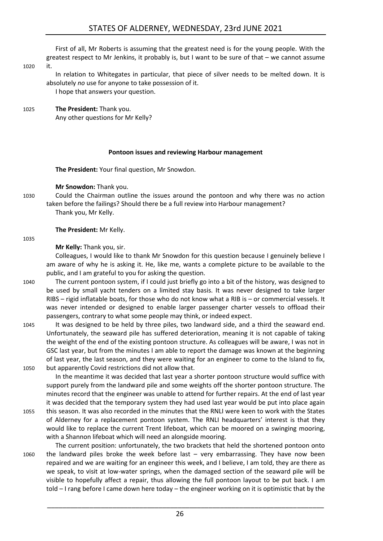First of all, Mr Roberts is assuming that the greatest need is for the young people. With the greatest respect to Mr Jenkins, it probably is, but I want to be sure of that – we cannot assume

1020 it.

In relation to Whitegates in particular, that piece of silver needs to be melted down. It is absolutely *no* use for anyone to take possession of it.

I hope that answers your question.

1025 **The President:** Thank you.

Any other questions for Mr Kelly?

#### **Pontoon issues and reviewing Harbour management**

<span id="page-25-0"></span>**The President:** Your final question, Mr Snowdon.

**Mr Snowdon:** Thank you.

- 
- 1030 Could the Chairman outline the issues around the pontoon and why there was no action taken before the failings? Should there be a full review into Harbour management? Thank you, Mr Kelly.

#### **The President:** Mr Kelly.

1035

**Mr Kelly:** Thank you, sir.

Colleagues, I would like to thank Mr Snowdon for this question because I genuinely believe I am aware of why he is asking it. He, like me, wants a complete picture to be available to the public, and I am grateful to you for asking the question.

- 1040 The current pontoon system, if I could just briefly go into a bit of the history, was designed to be used by small yacht tenders on a limited stay basis. It was never designed to take larger RIBS – rigid inflatable boats, for those who do not know what a RIB is – or commercial vessels. It was never intended or designed to enable larger passenger charter vessels to offload their passengers, contrary to what some people may think, or indeed expect.
- 1045 It was designed to be held by three piles, two landward side, and a third the seaward end. Unfortunately, the seaward pile has suffered deterioration, meaning it is not capable of taking the weight of the end of the existing pontoon structure. As colleagues will be aware, I was not in GSC last year, but from the minutes I am able to report the damage was known at the beginning of last year, the last season, and they were waiting for an engineer to come to the Island to fix, 1050 but apparently Covid restrictions did not allow that.

In the meantime it was decided that last year a shorter pontoon structure would suffice with support purely from the landward pile and some weights off the shorter pontoon structure. The minutes record that the engineer was unable to attend for further repairs. At the end of last year it was decided that the temporary system they had used last year would be put into place again 1055 this season. It was also recorded in the minutes that the RNLI were keen to work with the States

- of Alderney for a replacement pontoon system. The RNLI headquarters' interest is that they would like to replace the current Trent lifeboat, which can be moored on a swinging mooring, with a Shannon lifeboat which will need an alongside mooring.
- The current position: unfortunately, the two brackets that held the shortened pontoon onto 1060 the landward piles broke the week before last – very embarrassing. They have now been repaired and we are waiting for an engineer this week, and I believe, I am told, they are there as we speak, to visit at low-water springs, when the damaged section of the seaward pile will be visible to hopefully affect a repair, thus allowing the full pontoon layout to be put back. I am told – I rang before I came down here today – the engineer working on it is optimistic that by the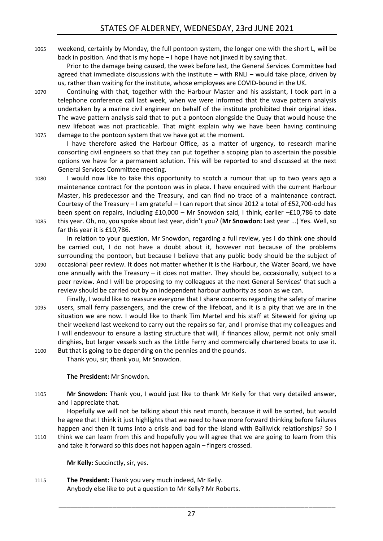1065 weekend, certainly by Monday, the full pontoon system, the longer one with the short L, will be back in position. And that is my hope – I hope I have not jinxed it by saying that.

Prior to the damage being caused, the week before last, the General Services Committee had agreed that immediate discussions with the institute – with RNLI – would take place, driven by us, rather than waiting for the institute, whose employees are COVID-bound in the UK.

1070 Continuing with that, together with the Harbour Master and his assistant, I took part in a telephone conference call last week, when we were informed that the wave pattern analysis undertaken by a marine civil engineer on behalf of the institute prohibited their original idea. The wave pattern analysis said that to put a pontoon alongside the Quay that would house the new lifeboat was not practicable. That might explain why we have been having continuing 1075 damage to the pontoon system that we have got at the moment.

I have therefore asked the Harbour Office, as a matter of urgency, to research marine consorting civil engineers so that they can put together a scoping plan to ascertain the possible options we have for a permanent solution. This will be reported to and discussed at the next General Services Committee meeting.

1080 I would now like to take this opportunity to scotch a rumour that up to two years ago a maintenance contract for the pontoon was in place. I have enquired with the current Harbour Master, his predecessor and the Treasury, and can find no trace of a maintenance contract. Courtesy of the Treasury – I am grateful – I can report that since 2012 a total of £52,700-odd has been spent on repairs, including £10,000 – Mr Snowdon said, I think, earlier –£10,786 to date 1085 this year. Oh, no, you spoke about last year, didn't you? (**Mr Snowdon:** Last year ...) Yes. Well, so far this year it is £10,786.

In relation to your question, Mr Snowdon, regarding a full review, yes I do think one should be carried out, I do not have a doubt about it, however not because of the problems surrounding the pontoon, but because I believe that any public body should be the subject of 1090 occasional peer review. It does not matter whether it is the Harbour, the Water Board, we have one annually with the Treasury – it does not matter. They should be, occasionally, subject to a peer review. And I will be proposing to my colleagues at the next General Services' that such a review should be carried out by an independent harbour authority as soon as we can.

Finally, I would like to reassure everyone that I share concerns regarding the safety of marine 1095 users, small ferry passengers, and the crew of the lifeboat, and it is a pity that we are in the situation we are now. I would like to thank Tim Martel and his staff at Siteweld for giving up their weekend last weekend to carry out the repairs so far, and I promise that my colleagues and I will endeavour to ensure a lasting structure that will, if finances allow, permit not only small dinghies, but larger vessels such as the Little Ferry and commercially chartered boats to use it. 1100 But that is going to be depending on the pennies and the pounds.

Thank you, sir; thank you, Mr Snowdon.

**The President:** Mr Snowdon.

1105 **Mr Snowdon:** Thank you, I would just like to thank Mr Kelly for that very detailed answer, and I appreciate that.

Hopefully we will not be talking about this next month, because it will be sorted, but would he agree that I think it just highlights that we need to have more forward thinking before failures happen and then it turns into a crisis and bad for the Island with Bailiwick relationships? So I 1110 think we can learn from this and hopefully you will agree that we are going to learn from this

and take it forward so this does not happen again – fingers crossed.

**Mr Kelly:** Succinctly, sir, yes.

1115 **The President:** Thank you very much indeed, Mr Kelly. Anybody else like to put a question to Mr Kelly? Mr Roberts.